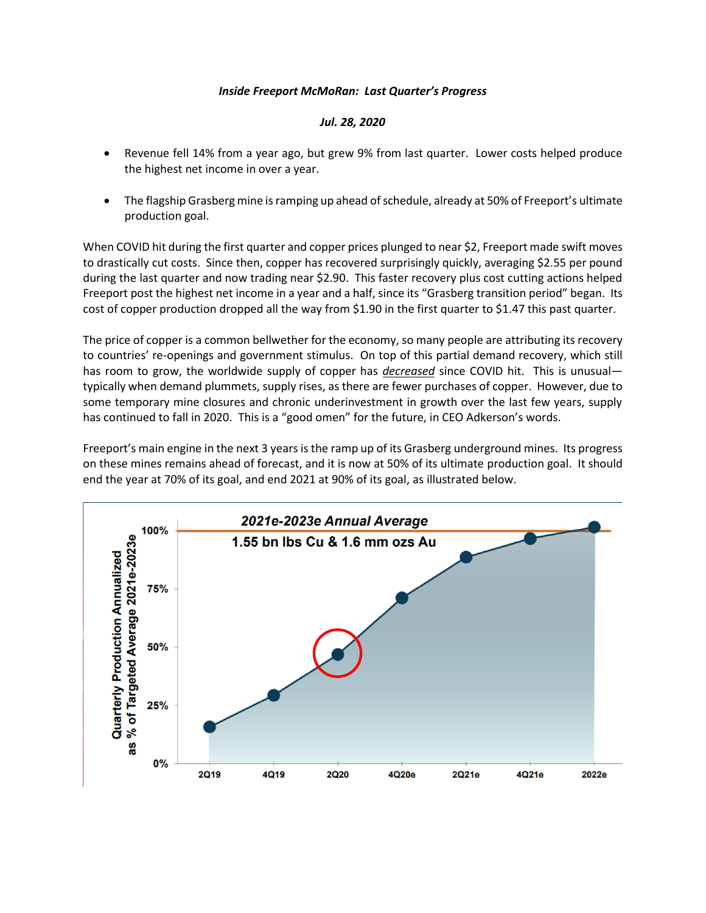## *Inside Freeport McMoRan: Last Quarter's Progress*

## *Jul. 28, 2020*

- Revenue fell 14% from a year ago, but grew 9% from last quarter. Lower costs helped produce the highest net income in over a year.
- The flagship Grasberg mine is ramping up ahead of schedule, already at 50% of Freeport's ultimate production goal.

When COVID hit during the first quarter and copper prices plunged to near \$2, Freeport made swift moves to drastically cut costs. Since then, copper has recovered surprisingly quickly, averaging \$2.55 per pound during the last quarter and now trading near \$2.90. This faster recovery plus cost cutting actions helped Freeport post the highest net income in a year and a half, since its "Grasberg transition period" began. Its cost of copper production dropped all the way from \$1.90 in the first quarter to \$1.47 this past quarter.

The price of copper is a common bellwether for the economy, so many people are attributing its recovery to countries' re-openings and government stimulus. On top of this partial demand recovery, which still has room to grow, the worldwide supply of copper has *decreased* since COVID hit. This is unusual typically when demand plummets, supply rises, as there are fewer purchases of copper. However, due to some temporary mine closures and chronic underinvestment in growth over the last few years, supply has continued to fall in 2020. This is a "good omen" for the future, in CEO Adkerson's words.

Freeport's main engine in the next 3 years is the ramp up of its Grasberg underground mines. Its progress on these mines remains ahead of forecast, and it is now at 50% of its ultimate production goal. It should end the year at 70% of its goal, and end 2021 at 90% of its goal, as illustrated below.